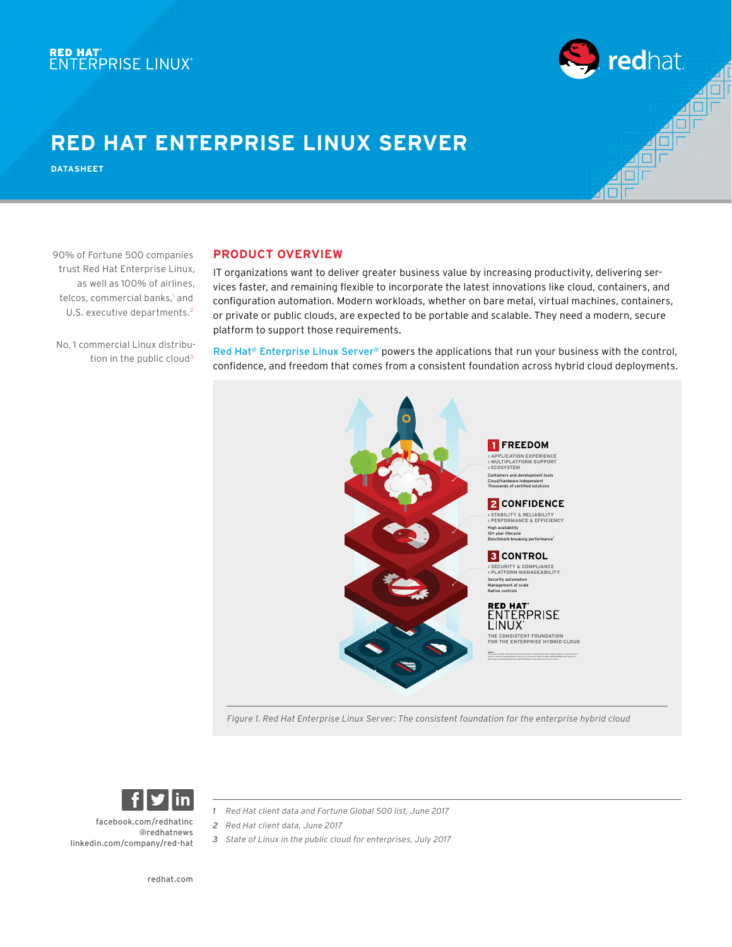### **RED HAT ENTERPRISE LINUX SERVER**

**DATASHEET**

**PRODUCT OVERVIEW**

IT organizations want to deliver greater business value by increasing productivity, delivering services faster, and remaining flexible to incorporate the latest innovations like cloud, containers, and configuration automation. Modern workloads, whether on bare metal, virtual machines, containers, or private or public clouds, are expected to be portable and scalable. They need a modern, secure platform to support those requirements.

redhat.

No. 1 commercial Linux distribution in the public cloud<sup>3</sup>

90% of Fortune 500 companies trust Red Hat Enterprise Linux, as well as 100% of airlines, telcos, commercial banks,<sup>1</sup> and U.S. executive departments.<sup>2</sup>

#### [Red Hat® Enterprise Linux Server®](http://www.redhat.com/en/technologies/linux-platforms/enterprise-linux) powers the applications that run your business with the control, confidence, and freedom that comes from a consistent foundation across hybrid cloud deployments.



*Figure 1. Red Hat Enterprise Linux Server: The consistent foundation for the enterprise hybrid cloud*



[linkedin.com/company/red](http://linkedin.com/company/red-hat)-hat

*1 Red Hat client data and Fortune Global 500 list, June 2017*

- *2 Red Hat client data, June 2017*
- *3 State of Linux in the public cloud for enterprises, July 2017*

[redhat.com](http://redhat.com) 

[@redhatnews](https://twitter.com/RedHatNews)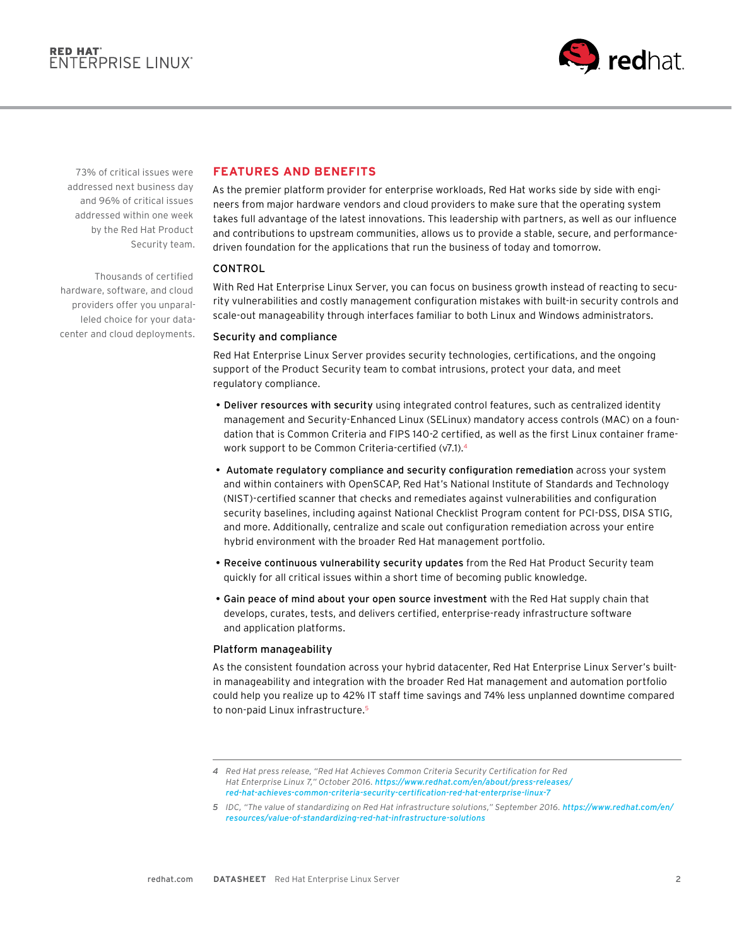

73% of critical issues were addressed next business day and 96% of critical issues addressed within one week by the Red Hat Product Security team.

Thousands of certified hardware, software, and cloud providers offer you unparalleled choice for your datacenter and cloud deployments.

### **FEATURES AND BENEFITS**

As the premier platform provider for enterprise workloads, Red Hat works side by side with engineers from major hardware vendors and cloud providers to make sure that the operating system takes full advantage of the latest innovations. This leadership with partners, as well as our influence and contributions to upstream communities, allows us to provide a stable, secure, and performancedriven foundation for the applications that run the business of today and tomorrow.

#### CONTROL

With Red Hat Enterprise Linux Server, you can focus on business growth instead of reacting to security vulnerabilities and costly management configuration mistakes with built-in security controls and scale-out manageability through interfaces familiar to both Linux and Windows administrators.

#### Security and compliance

Red Hat Enterprise Linux Server provides security technologies, certifications, and the ongoing support of the Product Security team to combat intrusions, protect your data, and meet regulatory compliance.

- Deliver resources with security using integrated control features, such as centralized identity management and Security-Enhanced Linux (SELinux) mandatory access controls (MAC) on a foundation that is Common Criteria and FIPS 140-2 certified, as well as the first Linux container framework support to be Common Criteria-certified (v7.1).4
- Automate regulatory compliance and security configuration remediation across your system and within containers with OpenSCAP, Red Hat's National Institute of Standards and Technology (NIST)-certified scanner that checks and remediates against vulnerabilities and configuration security baselines, including against National Checklist Program content for PCI-DSS, DISA STIG, and more. Additionally, centralize and scale out configuration remediation across your entire hybrid environment with the broader Red Hat management portfolio.
- Receive continuous vulnerability security updates from the Red Hat Product Security team quickly for all critical issues within a short time of becoming public knowledge.
- Gain peace of mind about your open source investment with the Red Hat supply chain that develops, curates, tests, and delivers certified, enterprise-ready infrastructure software and application platforms.

#### Platform manageability

As the consistent foundation across your hybrid datacenter, Red Hat Enterprise Linux Server's builtin manageability and integration with the broader Red Hat management and automation portfolio could help you realize up to 42% IT staff time savings and 74% less unplanned downtime compared to non-paid Linux infrastructure.<sup>5</sup>

*<sup>4</sup> Red Hat press release, "Red Hat Achieves Common Criteria Security Certification for Red Hat Enterprise Linux 7," October 2016. [https://www.redhat.com/en/about/press-releases/](https://www.redhat.com/en/about/press-releases/red-hat-achieves-common-criteria-security-certification-red-hat-enterprise-linux-7 ) [red-hat-achieves-common-criteria-security-certification-red-hat-enterprise-linux-7](https://www.redhat.com/en/about/press-releases/red-hat-achieves-common-criteria-security-certification-red-hat-enterprise-linux-7 )* 

*<sup>5</sup> IDC, "The value of standardizing on Red Hat infrastructure solutions," September 2016. [https://www.redhat.com/en/](https://www.redhat.com/en/resources/value-of-standardizing-red-hat-infrastructure-solutions) [resources/value-of-standardizing-red-hat-infrastructure-solutions](https://www.redhat.com/en/resources/value-of-standardizing-red-hat-infrastructure-solutions)*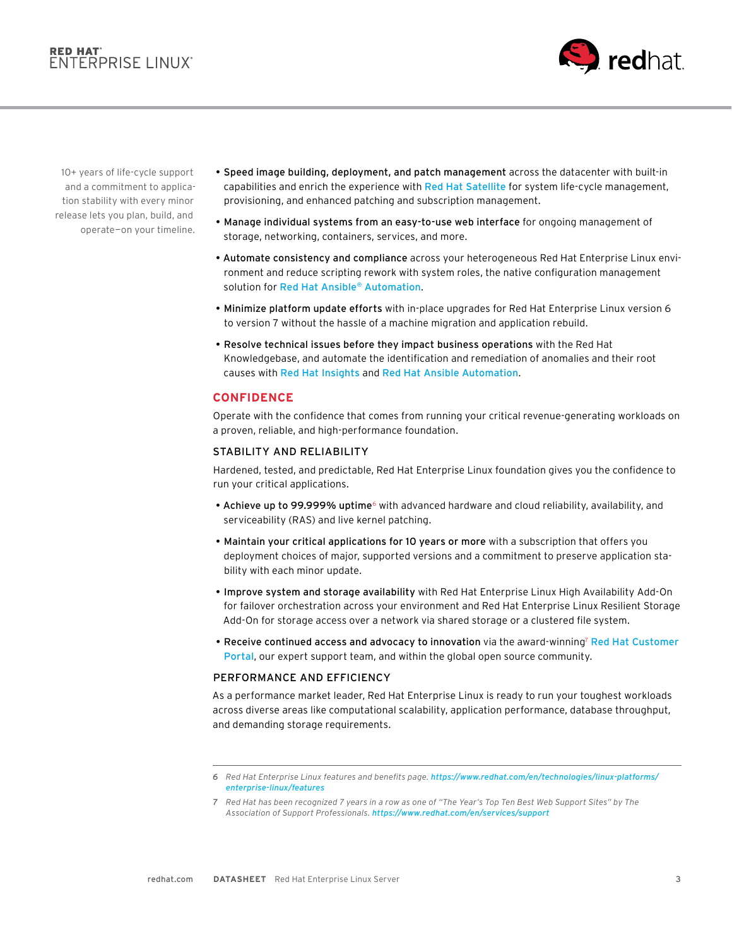## RED HAT'<br>ENTERPRISE LINUX'



10+ years of life-cycle support and a commitment to application stability with every minor release lets you plan, build, and operate—on your timeline.

- Speed image building, deployment, and patch management across the datacenter with built-in capabilities and enrich the experience with [Red Hat Satellite](http://www.redhat.com/en/technologies/management/satellite) for system life-cycle management, provisioning, and enhanced patching and subscription management.
- Manage individual systems from an easy-to-use web interface for ongoing management of storage, networking, containers, services, and more.
- Automate consistency and compliance across your heterogeneous Red Hat Enterprise Linux environment and reduce scripting rework with system roles, the native configuration management solution for [Red Hat Ansible® Automation](https://www.redhat.com/en/technologies/management/ansible?intcmp=701f2000001OEGhAAO).
- Minimize platform update efforts with in-place upgrades for Red Hat Enterprise Linux version 6 to version 7 without the hassle of a machine migration and application rebuild.
- Resolve technical issues before they impact business operations with the Red Hat Knowledgebase, and automate the identification and remediation of anomalies and their root causes with [Red Hat Insights](http://access.redhat.com/insights/info/) and [Red Hat Ansible Automation](http://www.redhat.com/en/technologies/management/ansible).

#### **CONFIDENCE**

Operate with the confidence that comes from running your critical revenue-generating workloads on a proven, reliable, and high-performance foundation.

#### STABILITY AND RELIABILITY

Hardened, tested, and predictable, Red Hat Enterprise Linux foundation gives you the confidence to run your critical applications.

- Achieve up to 99.999% uptime<sup>6</sup> with advanced hardware and cloud reliability, availability, and serviceability (RAS) and live kernel patching.
- Maintain your critical applications for 10 years or more with a subscription that offers you deployment choices of major, supported versions and a commitment to preserve application stability with each minor update.
- Improve system and storage availability with Red Hat Enterprise Linux High Availability Add-On for failover orchestration across your environment and Red Hat Enterprise Linux Resilient Storage Add-On for storage access over a network via shared storage or a clustered file system.
- Receive continued access and advocacy to innovation via the award-winning7 [Red Hat Customer](http://access.redhat.com)  [Portal](http://access.redhat.com), our expert support team, and within the global open source community.

#### PERFORMANCE AND EFFICIENCY

As a performance market leader, Red Hat Enterprise Linux is ready to run your toughest workloads across diverse areas like computational scalability, application performance, database throughput, and demanding storage requirements.

*<sup>6</sup> Red Hat Enterprise Linux features and benefits page. [https://www.redhat.com/en/technologies/linux-platforms/](https://www.redhat.com/en/technologies/linux-platforms/enterprise-linux/features) [enterprise-linux/features](https://www.redhat.com/en/technologies/linux-platforms/enterprise-linux/features)*

*<sup>7</sup> Red Hat has been recognized 7 years in a row as one of "The Year's Top Ten Best Web Support Sites" by The Association of Support Professionals. <https://www.redhat.com/en/services/support>*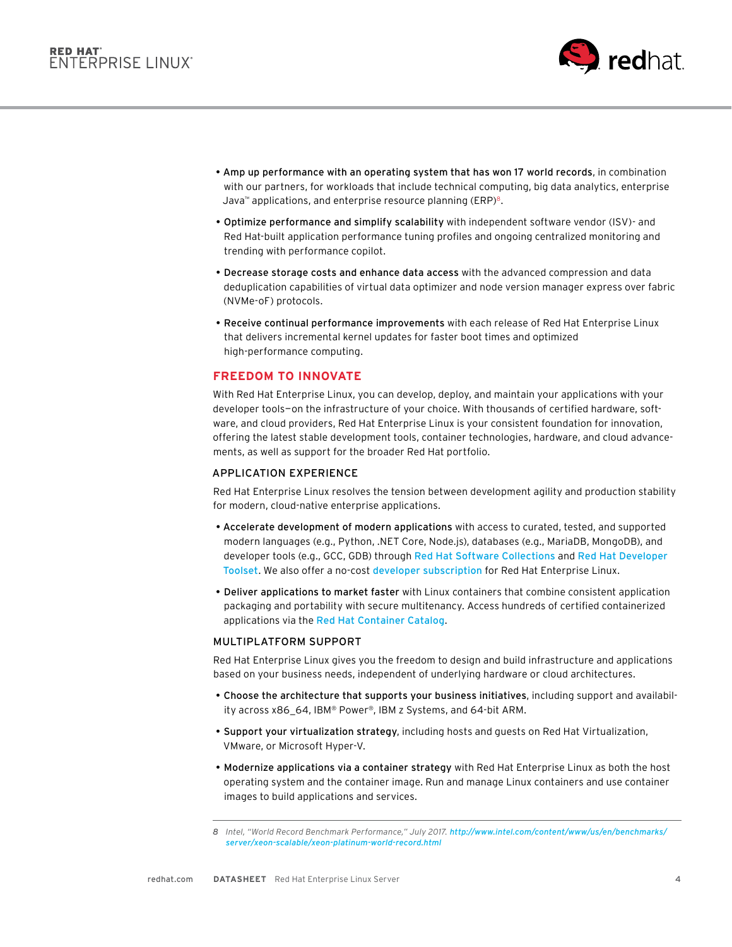

- Amp up performance with an operating system that has won 17 world records, in combination with our partners, for workloads that include technical computing, big data analytics, enterprise Java<sup>™</sup> applications, and enterprise resource planning (ERP)<sup>8</sup>.
- Optimize performance and simplify scalability with independent software vendor (ISV)- and Red Hat-built application performance tuning profiles and ongoing centralized monitoring and trending with performance copilot.
- Decrease storage costs and enhance data access with the advanced compression and data deduplication capabilities of virtual data optimizer and node version manager express over fabric (NVMe-oF) protocols.
- Receive continual performance improvements with each release of Red Hat Enterprise Linux that delivers incremental kernel updates for faster boot times and optimized high-performance computing.

#### **FREEDOM TO INNOVATE**

With Red Hat Enterprise Linux, you can develop, deploy, and maintain your applications with your developer tools—on the infrastructure of your choice. With thousands of certified hardware, software, and cloud providers, Red Hat Enterprise Linux is your consistent foundation for innovation, offering the latest stable development tools, container technologies, hardware, and cloud advancements, as well as support for the broader Red Hat portfolio.

#### APPLICATION EXPERIENCE

Red Hat Enterprise Linux resolves the tension between development agility and production stability for modern, cloud-native enterprise applications.

- Accelerate development of modern applications with access to curated, tested, and supported modern languages (e.g., Python, .NET Core, Node.js), databases (e.g., MariaDB, MongoDB), and developer tools (e.g., GCC, GDB) through [Red Hat Software Collections](http://access.redhat.com/support/policy/updates/rhscl) and [Red Hat Developer](http://developers.redhat.com/products/developertoolset/overview/)  [Toolset](http://developers.redhat.com/products/developertoolset/overview/). We also offer a no-cost [developer subscription](https://developers.redhat.com/products/rhel/download/) for Red Hat Enterprise Linux.
- Deliver applications to market faster with Linux containers that combine consistent application packaging and portability with secure multitenancy. Access hundreds of certified containerized applications via the [Red Hat Container Catalog](http://access.redhat.com/containers/#/product/RedHatEnterpriseLinux).

#### MULTIPLATFORM SUPPORT

Red Hat Enterprise Linux gives you the freedom to design and build infrastructure and applications based on your business needs, independent of underlying hardware or cloud architectures.

- Choose the architecture that supports your business initiatives, including support and availability across x86\_64, IBM® Power®, IBM z Systems, and 64-bit ARM.
- Support your virtualization strategy, including hosts and guests on Red Hat Virtualization, VMware, or Microsoft Hyper-V.
- Modernize applications via a container strategy with Red Hat Enterprise Linux as both the host operating system and the container image. Run and manage Linux containers and use container images to build applications and services.

*<sup>8</sup> Intel, "World Record Benchmark Performance," July 2017. [http://www.intel.com/content/www/us/en/benchmarks/](http://www.intel.com/content/www/us/en/benchmarks/server/xeon-scalable/xeon-platinum-world-record.html) [server/xeon-scalable/xeon-platinum-world-record.html](http://www.intel.com/content/www/us/en/benchmarks/server/xeon-scalable/xeon-platinum-world-record.html)*